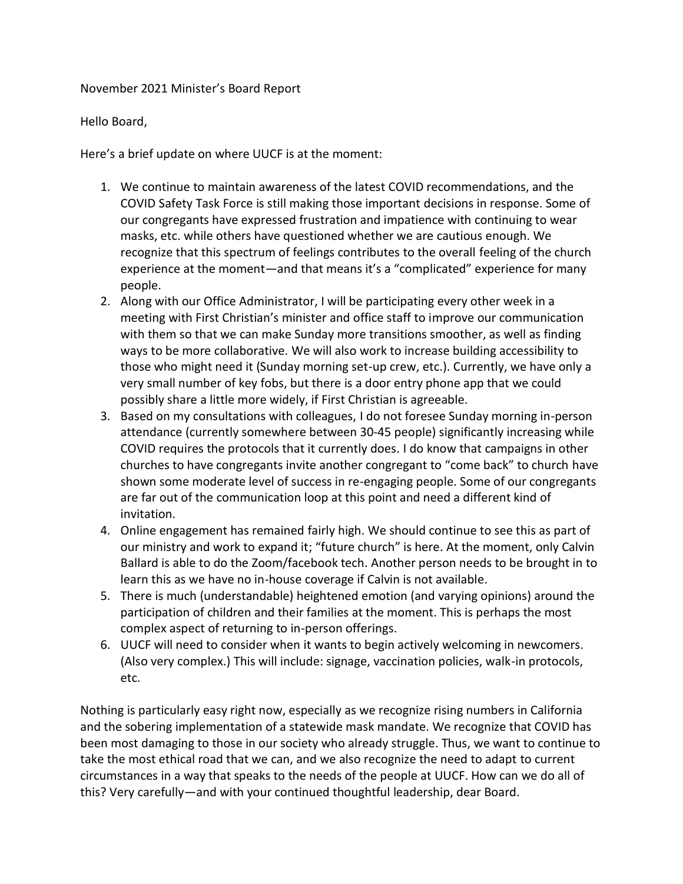## November 2021 Minister's Board Report

Hello Board,

Here's a brief update on where UUCF is at the moment:

- 1. We continue to maintain awareness of the latest COVID recommendations, and the COVID Safety Task Force is still making those important decisions in response. Some of our congregants have expressed frustration and impatience with continuing to wear masks, etc. while others have questioned whether we are cautious enough. We recognize that this spectrum of feelings contributes to the overall feeling of the church experience at the moment—and that means it's a "complicated" experience for many people.
- 2. Along with our Office Administrator, I will be participating every other week in a meeting with First Christian's minister and office staff to improve our communication with them so that we can make Sunday more transitions smoother, as well as finding ways to be more collaborative. We will also work to increase building accessibility to those who might need it (Sunday morning set-up crew, etc.). Currently, we have only a very small number of key fobs, but there is a door entry phone app that we could possibly share a little more widely, if First Christian is agreeable.
- 3. Based on my consultations with colleagues, I do not foresee Sunday morning in-person attendance (currently somewhere between 30-45 people) significantly increasing while COVID requires the protocols that it currently does. I do know that campaigns in other churches to have congregants invite another congregant to "come back" to church have shown some moderate level of success in re-engaging people. Some of our congregants are far out of the communication loop at this point and need a different kind of invitation.
- 4. Online engagement has remained fairly high. We should continue to see this as part of our ministry and work to expand it; "future church" is here. At the moment, only Calvin Ballard is able to do the Zoom/facebook tech. Another person needs to be brought in to learn this as we have no in-house coverage if Calvin is not available.
- 5. There is much (understandable) heightened emotion (and varying opinions) around the participation of children and their families at the moment. This is perhaps the most complex aspect of returning to in-person offerings.
- 6. UUCF will need to consider when it wants to begin actively welcoming in newcomers. (Also very complex.) This will include: signage, vaccination policies, walk-in protocols, etc.

Nothing is particularly easy right now, especially as we recognize rising numbers in California and the sobering implementation of a statewide mask mandate. We recognize that COVID has been most damaging to those in our society who already struggle. Thus, we want to continue to take the most ethical road that we can, and we also recognize the need to adapt to current circumstances in a way that speaks to the needs of the people at UUCF. How can we do all of this? Very carefully—and with your continued thoughtful leadership, dear Board.